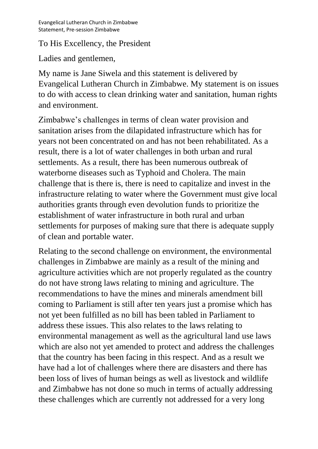## To His Excellency, the President

Ladies and gentlemen,

My name is Jane Siwela and this statement is delivered by Evangelical Lutheran Church in Zimbabwe. My statement is on issues to do with access to clean drinking water and sanitation, human rights and environment.

Zimbabwe's challenges in terms of clean water provision and sanitation arises from the dilapidated infrastructure which has for years not been concentrated on and has not been rehabilitated. As a result, there is a lot of water challenges in both urban and rural settlements. As a result, there has been numerous outbreak of waterborne diseases such as Typhoid and Cholera. The main challenge that is there is, there is need to capitalize and invest in the infrastructure relating to water where the Government must give local authorities grants through even devolution funds to prioritize the establishment of water infrastructure in both rural and urban settlements for purposes of making sure that there is adequate supply of clean and portable water.

Relating to the second challenge on environment, the environmental challenges in Zimbabwe are mainly as a result of the mining and agriculture activities which are not properly regulated as the country do not have strong laws relating to mining and agriculture. The recommendations to have the mines and minerals amendment bill coming to Parliament is still after ten years just a promise which has not yet been fulfilled as no bill has been tabled in Parliament to address these issues. This also relates to the laws relating to environmental management as well as the agricultural land use laws which are also not yet amended to protect and address the challenges that the country has been facing in this respect. And as a result we have had a lot of challenges where there are disasters and there has been loss of lives of human beings as well as livestock and wildlife and Zimbabwe has not done so much in terms of actually addressing these challenges which are currently not addressed for a very long